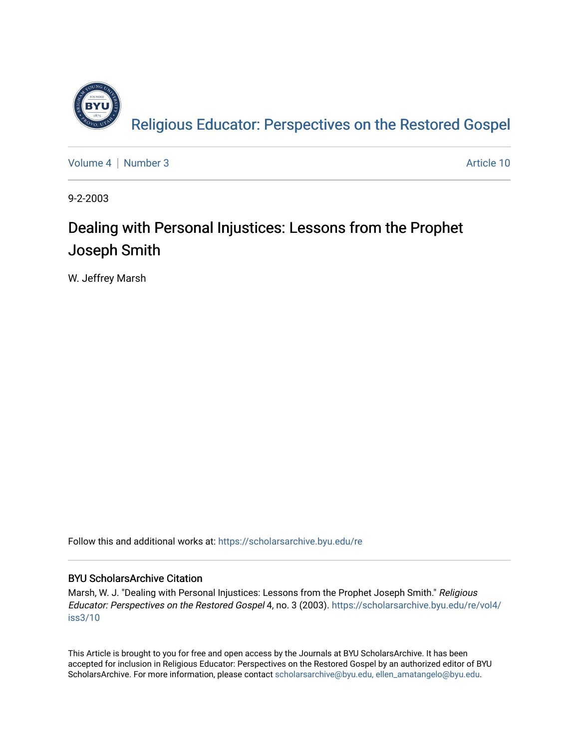

[Volume 4](https://scholarsarchive.byu.edu/re/vol4) | [Number 3](https://scholarsarchive.byu.edu/re/vol4/iss3) Article 10

9-2-2003

# Dealing with Personal Injustices: Lessons from the Prophet Joseph Smith

W. Jeffrey Marsh

Follow this and additional works at: [https://scholarsarchive.byu.edu/re](https://scholarsarchive.byu.edu/re?utm_source=scholarsarchive.byu.edu%2Fre%2Fvol4%2Fiss3%2F10&utm_medium=PDF&utm_campaign=PDFCoverPages)

# BYU ScholarsArchive Citation

Marsh, W. J. "Dealing with Personal Injustices: Lessons from the Prophet Joseph Smith." Religious Educator: Perspectives on the Restored Gospel 4, no. 3 (2003). [https://scholarsarchive.byu.edu/re/vol4/](https://scholarsarchive.byu.edu/re/vol4/iss3/10?utm_source=scholarsarchive.byu.edu%2Fre%2Fvol4%2Fiss3%2F10&utm_medium=PDF&utm_campaign=PDFCoverPages) [iss3/10](https://scholarsarchive.byu.edu/re/vol4/iss3/10?utm_source=scholarsarchive.byu.edu%2Fre%2Fvol4%2Fiss3%2F10&utm_medium=PDF&utm_campaign=PDFCoverPages) 

This Article is brought to you for free and open access by the Journals at BYU ScholarsArchive. It has been accepted for inclusion in Religious Educator: Perspectives on the Restored Gospel by an authorized editor of BYU ScholarsArchive. For more information, please contact [scholarsarchive@byu.edu, ellen\\_amatangelo@byu.edu.](mailto:scholarsarchive@byu.edu,%20ellen_amatangelo@byu.edu)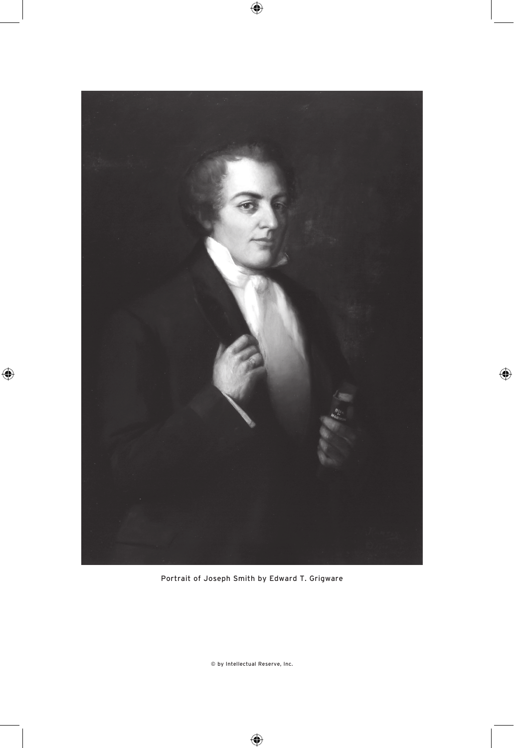

Portrait of Joseph Smith by Edward T. Grigware

© by Intellectual Reserve, Inc.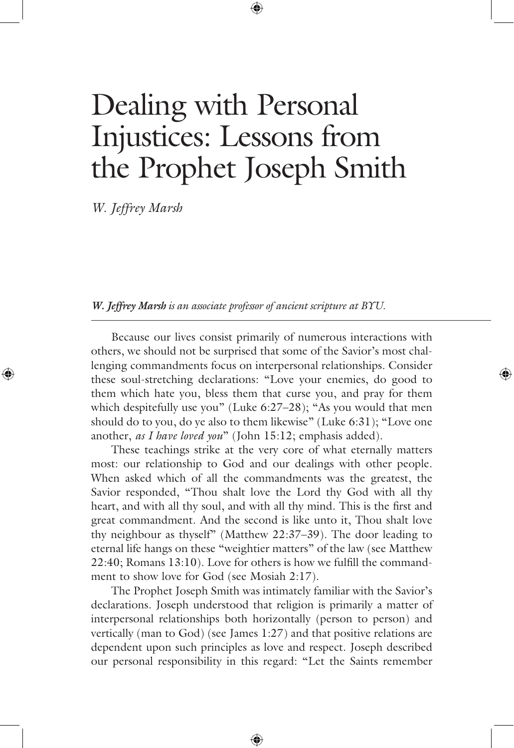# Dealing with Personal Injustices: Lessons from the Prophet Joseph Smith

*W. Jeffrey Marsh*

*W. Jeffrey Marsh is an associate professor of ancient scripture at BYU.*

 Because our lives consist primarily of numerous interactions with others, we should not be surprised that some of the Savior's most challenging commandments focus on interpersonal relationships. Consider these soul-stretching declarations: "Love your enemies, do good to them which hate you, bless them that curse you, and pray for them which despitefully use you" (Luke 6:27–28); "As you would that men should do to you, do ye also to them likewise" (Luke 6:31); "Love one another, *as I have loved you*" (John 15:12; emphasis added).

 These teachings strike at the very core of what eternally matters most: our relationship to God and our dealings with other people. When asked which of all the commandments was the greatest, the Savior responded, "Thou shalt love the Lord thy God with all thy heart, and with all thy soul, and with all thy mind. This is the first and great commandment. And the second is like unto it, Thou shalt love thy neighbour as thyself" (Matthew 22:37–39). The door leading to eternal life hangs on these "weightier matters" of the law (see Matthew 22:40; Romans 13:10). Love for others is how we fulfill the commandment to show love for God (see Mosiah 2:17).

 The Prophet Joseph Smith was intimately familiar with the Savior's declarations. Joseph understood that religion is primarily a matter of interpersonal relationships both horizontally (person to person) and vertically (man to God) (see James 1:27) and that positive relations are dependent upon such principles as love and respect. Joseph described our personal responsibility in this regard: "Let the Saints remember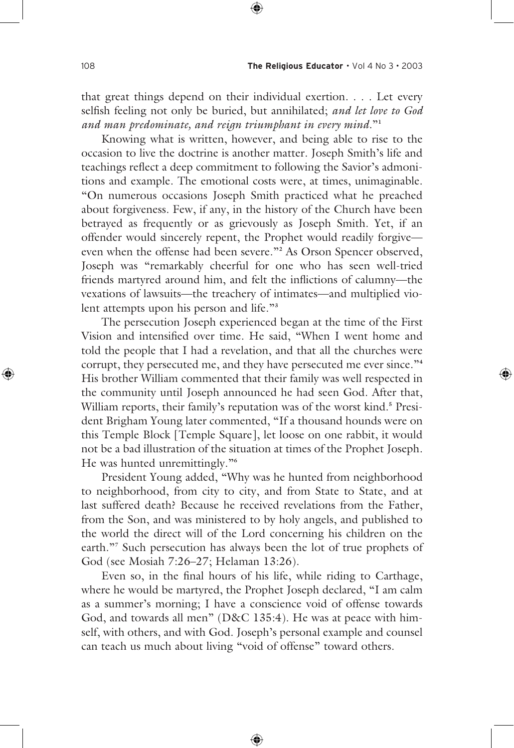that great things depend on their individual exertion. . . . Let every selfish feeling not only be buried, but annihilated; *and let love to God and man predominate, and reign triumphant in every mind*."**<sup>1</sup>**

 Knowing what is written, however, and being able to rise to the occasion to live the doctrine is another matter. Joseph Smith's life and teachings reflect a deep commitment to following the Savior's admonitions and example. The emotional costs were, at times, unimaginable. "On numerous occasions Joseph Smith practiced what he preached about forgiveness. Few, if any, in the history of the Church have been betrayed as frequently or as grievously as Joseph Smith. Yet, if an offender would sincerely repent, the Prophet would readily forgive even when the offense had been severe."**<sup>2</sup>** As Orson Spencer observed, Joseph was "remarkably cheerful for one who has seen well-tried friends martyred around him, and felt the inflictions of calumny—the vexations of lawsuits—the treachery of intimates—and multiplied violent attempts upon his person and life."**<sup>3</sup>**

 The persecution Joseph experienced began at the time of the First Vision and intensified over time. He said, "When I went home and told the people that I had a revelation, and that all the churches were corrupt, they persecuted me, and they have persecuted me ever since."**<sup>4</sup>** His brother William commented that their family was well respected in the community until Joseph announced he had seen God. After that, William reports, their family's reputation was of the worst kind.<sup>5</sup> President Brigham Young later commented, "If a thousand hounds were on this Temple Block [Temple Square], let loose on one rabbit, it would not be a bad illustration of the situation at times of the Prophet Joseph. He was hunted unremittingly."**<sup>6</sup>**

 President Young added, "Why was he hunted from neighborhood to neighborhood, from city to city, and from State to State, and at last suffered death? Because he received revelations from the Father, from the Son, and was ministered to by holy angels, and published to the world the direct will of the Lord concerning his children on the earth."**<sup>7</sup>** Such persecution has always been the lot of true prophets of God (see Mosiah 7:26–27; Helaman 13:26).

 Even so, in the final hours of his life, while riding to Carthage, where he would be martyred, the Prophet Joseph declared, "I am calm as a summer's morning; I have a conscience void of offense towards God, and towards all men" (D&C 135:4). He was at peace with himself, with others, and with God. Joseph's personal example and counsel can teach us much about living "void of offense" toward others.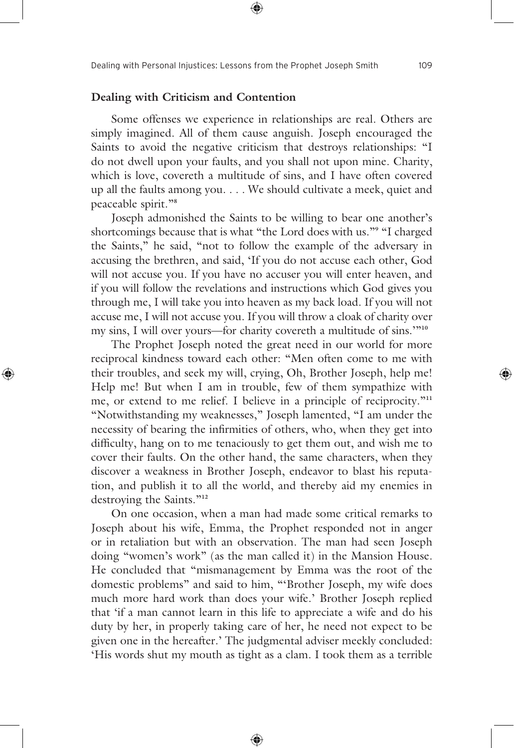#### **Dealing with Criticism and Contention**

 Some offenses we experience in relationships are real. Others are simply imagined. All of them cause anguish. Joseph encouraged the Saints to avoid the negative criticism that destroys relationships: "I do not dwell upon your faults, and you shall not upon mine. Charity, which is love, covereth a multitude of sins, and I have often covered up all the faults among you. . . . We should cultivate a meek, quiet and peaceable spirit."**<sup>8</sup>**

 Joseph admonished the Saints to be willing to bear one another's shortcomings because that is what "the Lord does with us."**<sup>9</sup>** "I charged the Saints," he said, "not to follow the example of the adversary in accusing the brethren, and said, 'If you do not accuse each other, God will not accuse you. If you have no accuser you will enter heaven, and if you will follow the revelations and instructions which God gives you through me, I will take you into heaven as my back load. If you will not accuse me, I will not accuse you. If you will throw a cloak of charity over my sins, I will over yours—for charity covereth a multitude of sins.'"**<sup>10</sup>**

 The Prophet Joseph noted the great need in our world for more reciprocal kindness toward each other: "Men often come to me with their troubles, and seek my will, crying, Oh, Brother Joseph, help me! Help me! But when I am in trouble, few of them sympathize with me, or extend to me relief. I believe in a principle of reciprocity."**<sup>11</sup>** "Notwithstanding my weaknesses," Joseph lamented, "I am under the necessity of bearing the infirmities of others, who, when they get into difficulty, hang on to me tenaciously to get them out, and wish me to cover their faults. On the other hand, the same characters, when they discover a weakness in Brother Joseph, endeavor to blast his reputation, and publish it to all the world, and thereby aid my enemies in destroying the Saints."**<sup>12</sup>**

 On one occasion, when a man had made some critical remarks to Joseph about his wife, Emma, the Prophet responded not in anger or in retaliation but with an observation. The man had seen Joseph doing "women's work" (as the man called it) in the Mansion House. He concluded that "mismanagement by Emma was the root of the domestic problems" and said to him, "'Brother Joseph, my wife does much more hard work than does your wife.' Brother Joseph replied that 'if a man cannot learn in this life to appreciate a wife and do his duty by her, in properly taking care of her, he need not expect to be given one in the hereafter.' The judgmental adviser meekly concluded: 'His words shut my mouth as tight as a clam. I took them as a terrible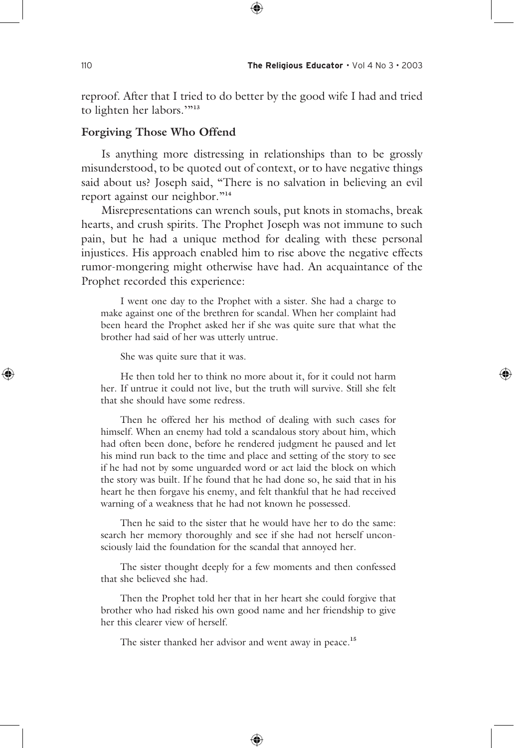reproof. After that I tried to do better by the good wife I had and tried to lighten her labors.'"**<sup>13</sup>**

### **Forgiving Those Who Offend**

 Is anything more distressing in relationships than to be grossly misunderstood, to be quoted out of context, or to have negative things said about us? Joseph said, "There is no salvation in believing an evil report against our neighbor."**<sup>14</sup>**

 Misrepresentations can wrench souls, put knots in stomachs, break hearts, and crush spirits. The Prophet Joseph was not immune to such pain, but he had a unique method for dealing with these personal injustices. His approach enabled him to rise above the negative effects rumor-mongering might otherwise have had. An acquaintance of the Prophet recorded this experience:

 I went one day to the Prophet with a sister. She had a charge to make against one of the brethren for scandal. When her complaint had been heard the Prophet asked her if she was quite sure that what the brother had said of her was utterly untrue.

She was quite sure that it was.

 He then told her to think no more about it, for it could not harm her. If untrue it could not live, but the truth will survive. Still she felt that she should have some redress.

 Then he offered her his method of dealing with such cases for himself. When an enemy had told a scandalous story about him, which had often been done, before he rendered judgment he paused and let his mind run back to the time and place and setting of the story to see if he had not by some unguarded word or act laid the block on which the story was built. If he found that he had done so, he said that in his heart he then forgave his enemy, and felt thankful that he had received warning of a weakness that he had not known he possessed.

 Then he said to the sister that he would have her to do the same: search her memory thoroughly and see if she had not herself unconsciously laid the foundation for the scandal that annoyed her.

 The sister thought deeply for a few moments and then confessed that she believed she had.

 Then the Prophet told her that in her heart she could forgive that brother who had risked his own good name and her friendship to give her this clearer view of herself.

The sister thanked her advisor and went away in peace.**<sup>15</sup>**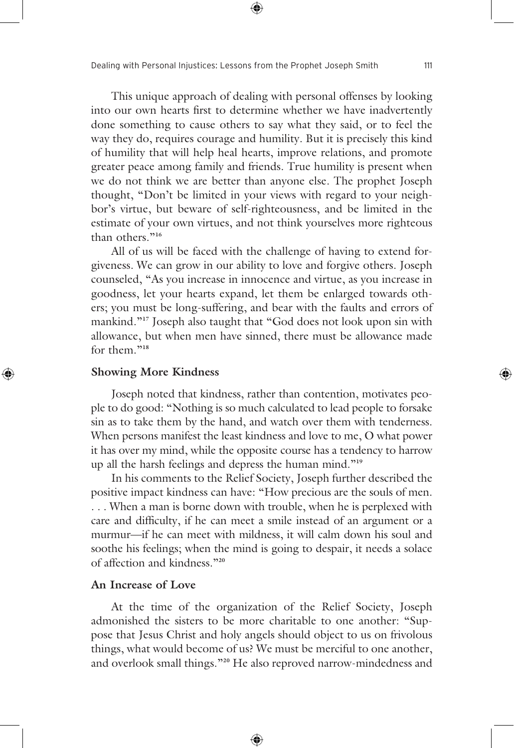This unique approach of dealing with personal offenses by looking into our own hearts first to determine whether we have inadvertently done something to cause others to say what they said, or to feel the way they do, requires courage and humility. But it is precisely this kind of humility that will help heal hearts, improve relations, and promote greater peace among family and friends. True humility is present when we do not think we are better than anyone else. The prophet Joseph thought, "Don't be limited in your views with regard to your neighbor's virtue, but beware of self-righteousness, and be limited in the estimate of your own virtues, and not think yourselves more righteous than others."**<sup>16</sup>**

 All of us will be faced with the challenge of having to extend forgiveness. We can grow in our ability to love and forgive others. Joseph counseled, "As you increase in innocence and virtue, as you increase in goodness, let your hearts expand, let them be enlarged towards others; you must be long-suffering, and bear with the faults and errors of mankind."**17** Joseph also taught that "God does not look upon sin with allowance, but when men have sinned, there must be allowance made for them."**<sup>18</sup>**

#### **Showing More Kindness**

 Joseph noted that kindness, rather than contention, motivates people to do good: "Nothing is so much calculated to lead people to forsake sin as to take them by the hand, and watch over them with tenderness. When persons manifest the least kindness and love to me, O what power it has over my mind, while the opposite course has a tendency to harrow up all the harsh feelings and depress the human mind."**<sup>19</sup>**

 In his comments to the Relief Society, Joseph further described the positive impact kindness can have: "How precious are the souls of men. . . . When a man is borne down with trouble, when he is perplexed with care and difficulty, if he can meet a smile instead of an argument or a murmur—if he can meet with mildness, it will calm down his soul and soothe his feelings; when the mind is going to despair, it needs a solace of affection and kindness."**<sup>20</sup>**

#### **An Increase of Love**

 At the time of the organization of the Relief Society, Joseph admonished the sisters to be more charitable to one another: "Suppose that Jesus Christ and holy angels should object to us on frivolous things, what would become of us? We must be merciful to one another, and overlook small things."**20** He also reproved narrow-mindedness and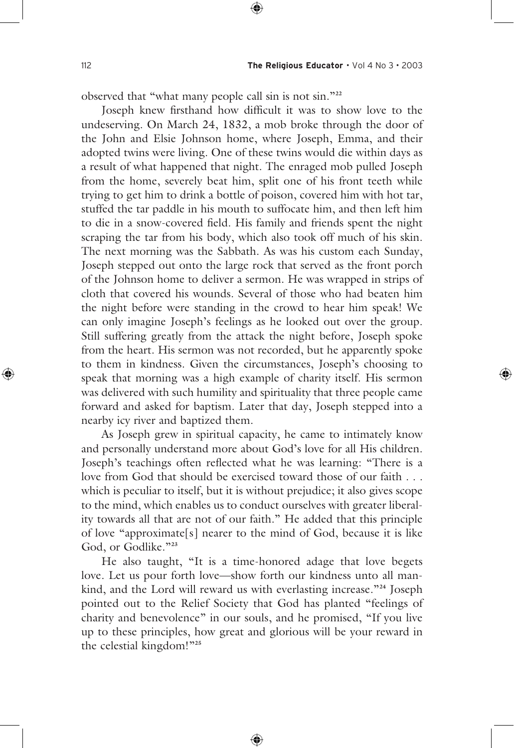observed that "what many people call sin is not sin."**<sup>22</sup>**

 Joseph knew firsthand how difficult it was to show love to the undeserving. On March 24, 1832, a mob broke through the door of the John and Elsie Johnson home, where Joseph, Emma, and their adopted twins were living. One of these twins would die within days as a result of what happened that night. The enraged mob pulled Joseph from the home, severely beat him, split one of his front teeth while trying to get him to drink a bottle of poison, covered him with hot tar, stuffed the tar paddle in his mouth to suffocate him, and then left him to die in a snow-covered field. His family and friends spent the night scraping the tar from his body, which also took off much of his skin. The next morning was the Sabbath. As was his custom each Sunday, Joseph stepped out onto the large rock that served as the front porch of the Johnson home to deliver a sermon. He was wrapped in strips of cloth that covered his wounds. Several of those who had beaten him the night before were standing in the crowd to hear him speak! We can only imagine Joseph's feelings as he looked out over the group. Still suffering greatly from the attack the night before, Joseph spoke from the heart. His sermon was not recorded, but he apparently spoke to them in kindness. Given the circumstances, Joseph's choosing to speak that morning was a high example of charity itself. His sermon was delivered with such humility and spirituality that three people came forward and asked for baptism. Later that day, Joseph stepped into a nearby icy river and baptized them.

 As Joseph grew in spiritual capacity, he came to intimately know and personally understand more about God's love for all His children. Joseph's teachings often reflected what he was learning: "There is a love from God that should be exercised toward those of our faith . . . which is peculiar to itself, but it is without prejudice; it also gives scope to the mind, which enables us to conduct ourselves with greater liberality towards all that are not of our faith." He added that this principle of love "approximate[s] nearer to the mind of God, because it is like God, or Godlike."**<sup>23</sup>**

 He also taught, "It is a time-honored adage that love begets love. Let us pour forth love—show forth our kindness unto all mankind, and the Lord will reward us with everlasting increase."**<sup>24</sup>** Joseph pointed out to the Relief Society that God has planted "feelings of charity and benevolence" in our souls, and he promised, "If you live up to these principles, how great and glorious will be your reward in the celestial kingdom!"**25**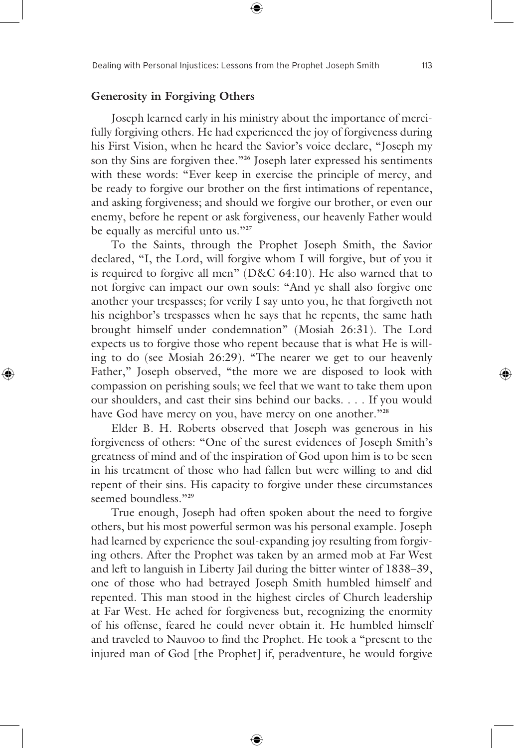#### **Generosity in Forgiving Others**

 Joseph learned early in his ministry about the importance of mercifully forgiving others. He had experienced the joy of forgiveness during his First Vision, when he heard the Savior's voice declare, "Joseph my son thy Sins are forgiven thee."**26** Joseph later expressed his sentiments with these words: "Ever keep in exercise the principle of mercy, and be ready to forgive our brother on the first intimations of repentance, and asking forgiveness; and should we forgive our brother, or even our enemy, before he repent or ask forgiveness, our heavenly Father would be equally as merciful unto us."**<sup>27</sup>**

 To the Saints, through the Prophet Joseph Smith, the Savior declared, "I, the Lord, will forgive whom I will forgive, but of you it is required to forgive all men" (D&C 64:10). He also warned that to not forgive can impact our own souls: "And ye shall also forgive one another your trespasses; for verily I say unto you, he that forgiveth not his neighbor's trespasses when he says that he repents, the same hath brought himself under condemnation" (Mosiah 26:31). The Lord expects us to forgive those who repent because that is what He is willing to do (see Mosiah 26:29). "The nearer we get to our heavenly Father," Joseph observed, "the more we are disposed to look with compassion on perishing souls; we feel that we want to take them upon our shoulders, and cast their sins behind our backs. . . . If you would have God have mercy on you, have mercy on one another."**<sup>28</sup>**

 Elder B. H. Roberts observed that Joseph was generous in his forgiveness of others: "One of the surest evidences of Joseph Smith's greatness of mind and of the inspiration of God upon him is to be seen in his treatment of those who had fallen but were willing to and did repent of their sins. His capacity to forgive under these circumstances seemed boundless."**<sup>29</sup>**

 True enough, Joseph had often spoken about the need to forgive others, but his most powerful sermon was his personal example. Joseph had learned by experience the soul-expanding joy resulting from forgiving others. After the Prophet was taken by an armed mob at Far West and left to languish in Liberty Jail during the bitter winter of 1838–39, one of those who had betrayed Joseph Smith humbled himself and repented. This man stood in the highest circles of Church leadership at Far West. He ached for forgiveness but, recognizing the enormity of his offense, feared he could never obtain it. He humbled himself and traveled to Nauvoo to find the Prophet. He took a "present to the injured man of God [the Prophet] if, peradventure, he would forgive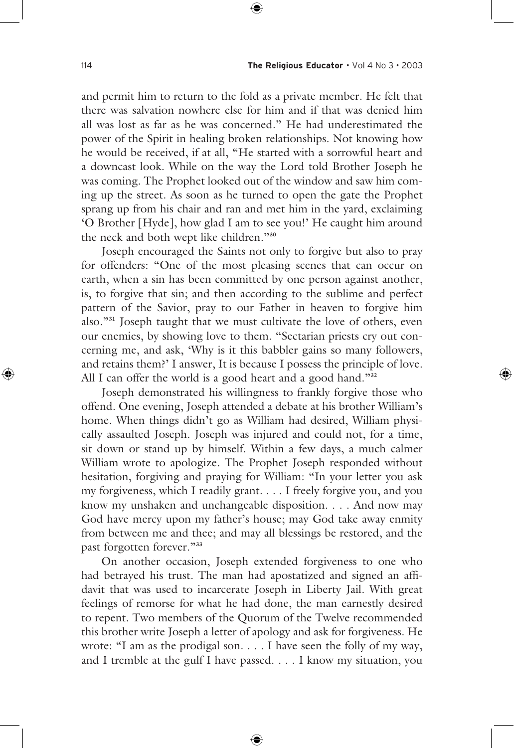and permit him to return to the fold as a private member. He felt that there was salvation nowhere else for him and if that was denied him all was lost as far as he was concerned." He had underestimated the power of the Spirit in healing broken relationships. Not knowing how he would be received, if at all, "He started with a sorrowful heart and a downcast look. While on the way the Lord told Brother Joseph he was coming. The Prophet looked out of the window and saw him coming up the street. As soon as he turned to open the gate the Prophet sprang up from his chair and ran and met him in the yard, exclaiming 'O Brother [Hyde], how glad I am to see you!' He caught him around the neck and both wept like children."**<sup>30</sup>**

 Joseph encouraged the Saints not only to forgive but also to pray for offenders: "One of the most pleasing scenes that can occur on earth, when a sin has been committed by one person against another, is, to forgive that sin; and then according to the sublime and perfect pattern of the Savior, pray to our Father in heaven to forgive him also."**31** Joseph taught that we must cultivate the love of others, even our enemies, by showing love to them. "Sectarian priests cry out concerning me, and ask, 'Why is it this babbler gains so many followers, and retains them?' I answer, It is because I possess the principle of love. All I can offer the world is a good heart and a good hand."**<sup>32</sup>**

 Joseph demonstrated his willingness to frankly forgive those who offend. One evening, Joseph attended a debate at his brother William's home. When things didn't go as William had desired, William physically assaulted Joseph. Joseph was injured and could not, for a time, sit down or stand up by himself. Within a few days, a much calmer William wrote to apologize. The Prophet Joseph responded without hesitation, forgiving and praying for William: "In your letter you ask my forgiveness, which I readily grant. . . . I freely forgive you, and you know my unshaken and unchangeable disposition. . . . And now may God have mercy upon my father's house; may God take away enmity from between me and thee; and may all blessings be restored, and the past forgotten forever."**<sup>33</sup>**

 On another occasion, Joseph extended forgiveness to one who had betrayed his trust. The man had apostatized and signed an affidavit that was used to incarcerate Joseph in Liberty Jail. With great feelings of remorse for what he had done, the man earnestly desired to repent. Two members of the Quorum of the Twelve recommended this brother write Joseph a letter of apology and ask for forgiveness. He wrote: "I am as the prodigal son. . . . I have seen the folly of my way, and I tremble at the gulf I have passed. . . . I know my situation, you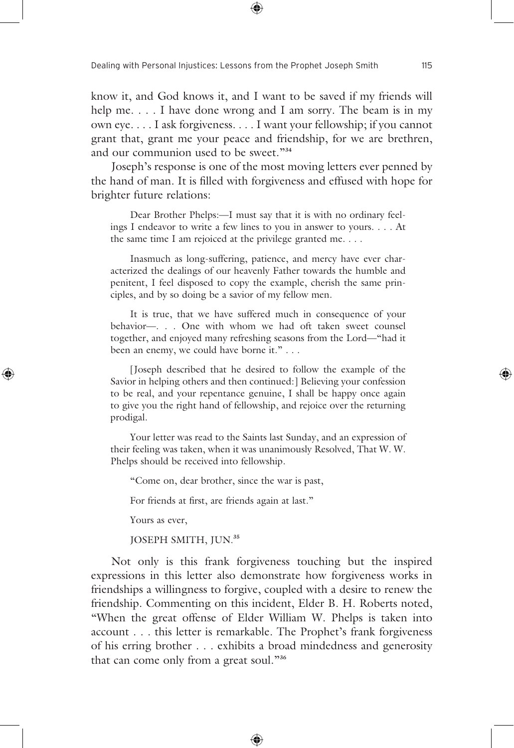know it, and God knows it, and I want to be saved if my friends will help me. . . . I have done wrong and I am sorry. The beam is in my own eye. . . . I ask forgiveness. . . . I want your fellowship; if you cannot grant that, grant me your peace and friendship, for we are brethren, and our communion used to be sweet."**<sup>34</sup>**

 Joseph's response is one of the most moving letters ever penned by the hand of man. It is filled with forgiveness and effused with hope for brighter future relations:

 Dear Brother Phelps:—I must say that it is with no ordinary feelings I endeavor to write a few lines to you in answer to yours. . . . At the same time I am rejoiced at the privilege granted me. . . .

 Inasmuch as long-suffering, patience, and mercy have ever characterized the dealings of our heavenly Father towards the humble and penitent, I feel disposed to copy the example, cherish the same principles, and by so doing be a savior of my fellow men.

 It is true, that we have suffered much in consequence of your behavior—. . . One with whom we had oft taken sweet counsel together, and enjoyed many refreshing seasons from the Lord—"had it been an enemy, we could have borne it." . . .

 [Joseph described that he desired to follow the example of the Savior in helping others and then continued:] Believing your confession to be real, and your repentance genuine, I shall be happy once again to give you the right hand of fellowship, and rejoice over the returning prodigal.

 Your letter was read to the Saints last Sunday, and an expression of their feeling was taken, when it was unanimously Resolved, That W. W. Phelps should be received into fellowship.

"Come on, dear brother, since the war is past,

For friends at first, are friends again at last."

Yours as ever,

JOSEPH SMITH, JUN.**<sup>35</sup>**

 Not only is this frank forgiveness touching but the inspired expressions in this letter also demonstrate how forgiveness works in friendships a willingness to forgive, coupled with a desire to renew the friendship. Commenting on this incident, Elder B. H. Roberts noted, "When the great offense of Elder William W. Phelps is taken into account . . . this letter is remarkable. The Prophet's frank forgiveness of his erring brother . . . exhibits a broad mindedness and generosity that can come only from a great soul."**36**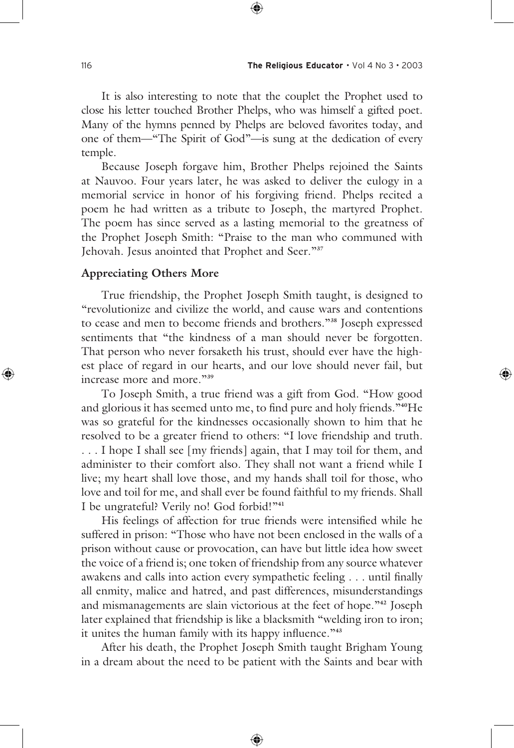It is also interesting to note that the couplet the Prophet used to close his letter touched Brother Phelps, who was himself a gifted poet. Many of the hymns penned by Phelps are beloved favorites today, and one of them—"The Spirit of God"—is sung at the dedication of every temple.

 Because Joseph forgave him, Brother Phelps rejoined the Saints at Nauvoo. Four years later, he was asked to deliver the eulogy in a memorial service in honor of his forgiving friend. Phelps recited a poem he had written as a tribute to Joseph, the martyred Prophet. The poem has since served as a lasting memorial to the greatness of the Prophet Joseph Smith: "Praise to the man who communed with Jehovah. Jesus anointed that Prophet and Seer."**<sup>37</sup>**

#### **Appreciating Others More**

 True friendship, the Prophet Joseph Smith taught, is designed to "revolutionize and civilize the world, and cause wars and contentions to cease and men to become friends and brothers."**38** Joseph expressed sentiments that "the kindness of a man should never be forgotten. That person who never forsaketh his trust, should ever have the highest place of regard in our hearts, and our love should never fail, but increase more and more."**<sup>39</sup>**

 To Joseph Smith, a true friend was a gift from God. "How good and glorious it has seemed unto me, to find pure and holy friends."**40**He was so grateful for the kindnesses occasionally shown to him that he resolved to be a greater friend to others: "I love friendship and truth. . . . I hope I shall see [my friends] again, that I may toil for them, and administer to their comfort also. They shall not want a friend while I live; my heart shall love those, and my hands shall toil for those, who love and toil for me, and shall ever be found faithful to my friends. Shall I be ungrateful? Verily no! God forbid!"**<sup>41</sup>**

 His feelings of affection for true friends were intensified while he suffered in prison: "Those who have not been enclosed in the walls of a prison without cause or provocation, can have but little idea how sweet the voice of a friend is; one token of friendship from any source whatever awakens and calls into action every sympathetic feeling . . . until finally all enmity, malice and hatred, and past differences, misunderstandings and mismanagements are slain victorious at the feet of hope."**42** Joseph later explained that friendship is like a blacksmith "welding iron to iron; it unites the human family with its happy influence."**<sup>43</sup>**

 After his death, the Prophet Joseph Smith taught Brigham Young in a dream about the need to be patient with the Saints and bear with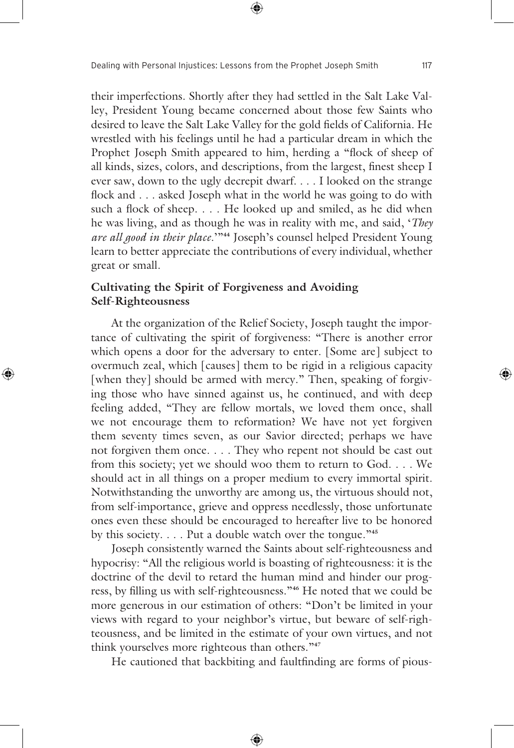their imperfections. Shortly after they had settled in the Salt Lake Valley, President Young became concerned about those few Saints who desired to leave the Salt Lake Valley for the gold fields of California. He wrestled with his feelings until he had a particular dream in which the Prophet Joseph Smith appeared to him, herding a "flock of sheep of all kinds, sizes, colors, and descriptions, from the largest, finest sheep I ever saw, down to the ugly decrepit dwarf. . . . I looked on the strange flock and . . . asked Joseph what in the world he was going to do with such a flock of sheep. . . . He looked up and smiled, as he did when he was living, and as though he was in reality with me, and said, '*They are all good in their place*.'"**44** Joseph's counsel helped President Young learn to better appreciate the contributions of every individual, whether great or small.

## **Cultivating the Spirit of Forgiveness and Avoiding Self-Righteousness**

 At the organization of the Relief Society, Joseph taught the importance of cultivating the spirit of forgiveness: "There is another error which opens a door for the adversary to enter. [Some are] subject to overmuch zeal, which [causes] them to be rigid in a religious capacity [when they] should be armed with mercy." Then, speaking of forgiving those who have sinned against us, he continued, and with deep feeling added, "They are fellow mortals, we loved them once, shall we not encourage them to reformation? We have not yet forgiven them seventy times seven, as our Savior directed; perhaps we have not forgiven them once. . . . They who repent not should be cast out from this society; yet we should woo them to return to God. . . . We should act in all things on a proper medium to every immortal spirit. Notwithstanding the unworthy are among us, the virtuous should not, from self-importance, grieve and oppress needlessly, those unfortunate ones even these should be encouraged to hereafter live to be honored by this society. . . . Put a double watch over the tongue."**<sup>45</sup>**

 Joseph consistently warned the Saints about self-righteousness and hypocrisy: "All the religious world is boasting of righteousness: it is the doctrine of the devil to retard the human mind and hinder our progress, by filling us with self-righteousness."**46** He noted that we could be more generous in our estimation of others: "Don't be limited in your views with regard to your neighbor's virtue, but beware of self-righteousness, and be limited in the estimate of your own virtues, and not think yourselves more righteous than others."**<sup>47</sup>**

He cautioned that backbiting and faultfinding are forms of pious-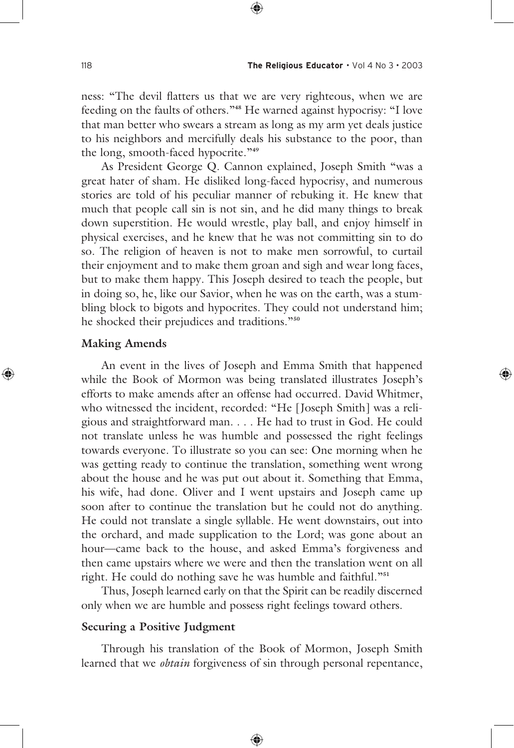ness: "The devil flatters us that we are very righteous, when we are feeding on the faults of others."**48** He warned against hypocrisy: "I love that man better who swears a stream as long as my arm yet deals justice to his neighbors and mercifully deals his substance to the poor, than the long, smooth-faced hypocrite."**<sup>49</sup>**

 As President George Q. Cannon explained, Joseph Smith "was a great hater of sham. He disliked long-faced hypocrisy, and numerous stories are told of his peculiar manner of rebuking it. He knew that much that people call sin is not sin, and he did many things to break down superstition. He would wrestle, play ball, and enjoy himself in physical exercises, and he knew that he was not committing sin to do so. The religion of heaven is not to make men sorrowful, to curtail their enjoyment and to make them groan and sigh and wear long faces, but to make them happy. This Joseph desired to teach the people, but in doing so, he, like our Savior, when he was on the earth, was a stumbling block to bigots and hypocrites. They could not understand him; he shocked their prejudices and traditions."**<sup>50</sup>**

#### **Making Amends**

 An event in the lives of Joseph and Emma Smith that happened while the Book of Mormon was being translated illustrates Joseph's efforts to make amends after an offense had occurred. David Whitmer, who witnessed the incident, recorded: "He [Joseph Smith] was a religious and straightforward man. . . . He had to trust in God. He could not translate unless he was humble and possessed the right feelings towards everyone. To illustrate so you can see: One morning when he was getting ready to continue the translation, something went wrong about the house and he was put out about it. Something that Emma, his wife, had done. Oliver and I went upstairs and Joseph came up soon after to continue the translation but he could not do anything. He could not translate a single syllable. He went downstairs, out into the orchard, and made supplication to the Lord; was gone about an hour—came back to the house, and asked Emma's forgiveness and then came upstairs where we were and then the translation went on all right. He could do nothing save he was humble and faithful."**<sup>51</sup>**

 Thus, Joseph learned early on that the Spirit can be readily discerned only when we are humble and possess right feelings toward others.

#### **Securing a Positive Judgment**

 Through his translation of the Book of Mormon, Joseph Smith learned that we *obtain* forgiveness of sin through personal repentance,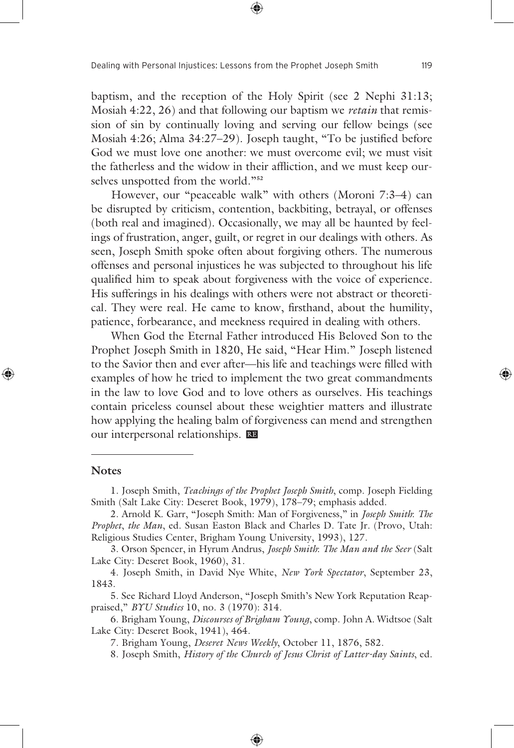baptism, and the reception of the Holy Spirit (see 2 Nephi 31:13; Mosiah 4:22, 26) and that following our baptism we *retain* that remission of sin by continually loving and serving our fellow beings (see Mosiah 4:26; Alma 34:27–29). Joseph taught, "To be justified before God we must love one another: we must overcome evil; we must visit the fatherless and the widow in their affliction, and we must keep ourselves unspotted from the world."**<sup>52</sup>**

 However, our "peaceable walk" with others (Moroni 7:3–4) can be disrupted by criticism, contention, backbiting, betrayal, or offenses (both real and imagined). Occasionally, we may all be haunted by feelings of frustration, anger, guilt, or regret in our dealings with others. As seen, Joseph Smith spoke often about forgiving others. The numerous offenses and personal injustices he was subjected to throughout his life qualified him to speak about forgiveness with the voice of experience. His sufferings in his dealings with others were not abstract or theoretical. They were real. He came to know, firsthand, about the humility, patience, forbearance, and meekness required in dealing with others.

 When God the Eternal Father introduced His Beloved Son to the Prophet Joseph Smith in 1820, He said, "Hear Him." Joseph listened to the Savior then and ever after—his life and teachings were filled with examples of how he tried to implement the two great commandments in the law to love God and to love others as ourselves. His teachings contain priceless counsel about these weightier matters and illustrate how applying the healing balm of forgiveness can mend and strengthen our interpersonal relationships.

#### **Notes**

<sup>1.</sup> Joseph Smith, *Teachings of the Prophet Joseph Smith*, comp. Joseph Fielding Smith (Salt Lake City: Deseret Book, 1979), 178–79; emphasis added.

<sup>2.</sup> Arnold K. Garr, "Joseph Smith: Man of Forgiveness," in *Joseph Smith*: *The Prophet*, *the Man*, ed. Susan Easton Black and Charles D. Tate Jr. (Provo, Utah: Religious Studies Center, Brigham Young University, 1993), 127.

<sup>3.</sup> Orson Spencer, in Hyrum Andrus, *Joseph Smith*: *The Man and the Seer* (Salt Lake City: Deseret Book, 1960), 31.

<sup>4.</sup> Joseph Smith, in David Nye White, *New York Spectator*, September 23, 1843.

<sup>5.</sup> See Richard Lloyd Anderson, "Joseph Smith's New York Reputation Reappraised," *BYU Studies* 10, no. 3 (1970): 314.

<sup>6.</sup> Brigham Young, *Discourses of Brigham Young*, comp. John A. Widtsoe (Salt Lake City: Deseret Book, 1941), 464.

<sup>7.</sup> Brigham Young, *Deseret News Weekly*, October 11, 1876, 582.

<sup>8.</sup> Joseph Smith, *History of the Church of Jesus Christ of Latter-day Saints*, ed.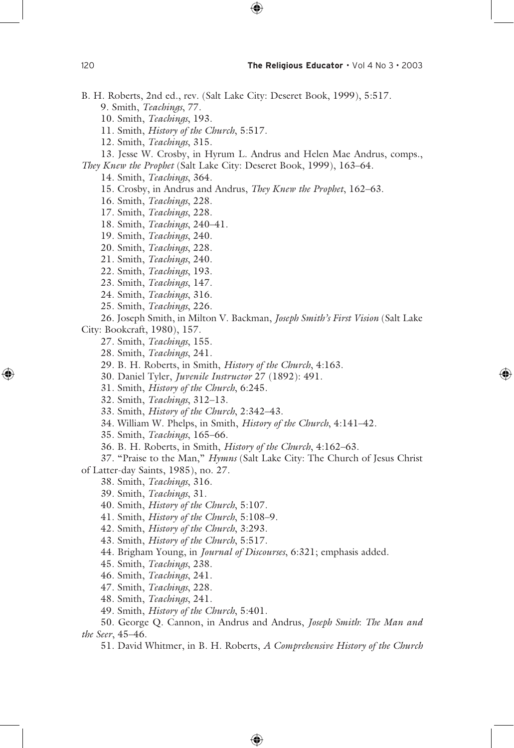B. H. Roberts, 2nd ed., rev. (Salt Lake City: Deseret Book, 1999), 5:517.

9. Smith, *Teachings*, 77.

- 10. Smith, *Teachings*, 193.
- 11. Smith, *History of the Church*, 5:517.
- 12. Smith, *Teachings*, 315.
- 13. Jesse W. Crosby, in Hyrum L. Andrus and Helen Mae Andrus, comps.,

*They Knew the Prophet* (Salt Lake City: Deseret Book, 1999), 163–64.

14. Smith, *Teachings*, 364.

- 15. Crosby, in Andrus and Andrus, *They Knew the Prophet*, 162–63.
- 16. Smith, *Teachings*, 228.
- 17. Smith, *Teachings*, 228.
- 18. Smith, *Teachings*, 240–41.
- 19. Smith, *Teachings*, 240.
- 20. Smith, *Teachings*, 228.
- 21. Smith, *Teachings*, 240.
- 22. Smith, *Teachings*, 193.
- 23. Smith, *Teachings*, 147.
- 24. Smith, *Teachings*, 316.
- 25. Smith, *Teachings*, 226.
- 26. Joseph Smith, in Milton V. Backman, *Joseph Smith's First Vision* (Salt Lake City: Bookcraft, 1980), 157.
	- 27. Smith, *Teachings*, 155.
	- 28. Smith, *Teachings*, 241.
	- 29. B. H. Roberts, in Smith, *History of the Church*, 4:163.
	- 30. Daniel Tyler, *Juvenile Instructor* 27 (1892): 491.
	- 31. Smith, *History of the Church*, 6:245.
	- 32. Smith, *Teachings*, 312–13.
	- 33. Smith, *History of the Church*, 2:342–43.
	- 34. William W. Phelps, in Smith, *History of the Church*, 4:141–42.
	- 35. Smith, *Teachings*, 165–66.
	- 36. B. H. Roberts, in Smith, *History of the Church*, 4:162–63.

37. "Praise to the Man," *Hymns* (Salt Lake City: The Church of Jesus Christ

- of Latter-day Saints, 1985), no. 27.
	- 38. Smith, *Teachings*, 316.
	- 39. Smith, *Teachings*, 31.
	- 40. Smith, *History of the Church*, 5:107.
	- 41. Smith, *History of the Church*, 5:108–9.
	- 42. Smith, *History of the Church*, 3:293.
	- 43. Smith, *History of the Church*, 5:517.
	- 44. Brigham Young, in *Journal of Discourses*, 6:321; emphasis added.
	- 45. Smith, *Teachings*, 238.
	- 46. Smith, *Teachings*, 241.
	- 47. Smith, *Teachings*, 228.
	- 48. Smith, *Teachings*, 241.
	- 49. Smith, *History of the Church*, 5:401.
- 50. George Q. Cannon, in Andrus and Andrus, *Joseph Smith*: *The Man and the Seer*, 45–46.
	- 51. David Whitmer, in B. H. Roberts, *A Comprehensive History of the Church*